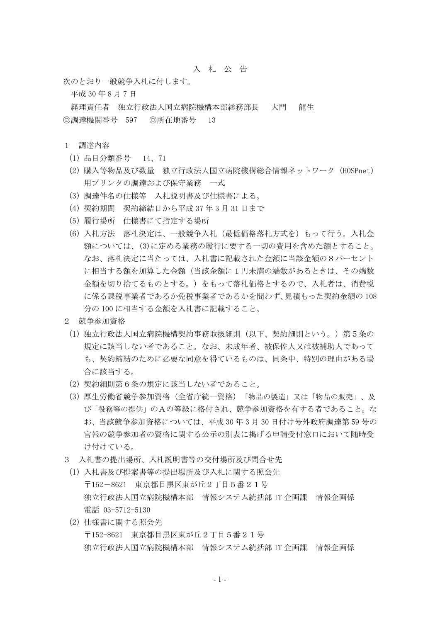## 入 札 公 告

次のとおり一般競争入札に付します。

平成 30 年 8 月 7 日

経理責任者 独立行政法人国立病院機構本部総務部長 大門 龍生 ◎調達機関番号 597 ◎所在地番号 13

## 1 調達内容

- (1) 品目分類番号 14、71
- (2) 購入等物品及び数量 独立行政法人国立病院機構総合情報ネットワーク(HOSPnet) 用プリンタの調達および保守業務 一式
- (3) 調達件名の仕様等 入札説明書及び仕様書による。
- (4) 契約期間 契約締結日から平成 37 年 3 月 31 日まで
- (5) 履行場所 仕様書にて指定する場所
- (6) 入札方法 落札決定は、一般競争入札(最低価格落札方式を)もって行う。入札金 額については、(3)に定める業務の履行に要する一切の費用を含めた額とすること。 なお、落札決定に当たっては、入札書に記載された金額に当該金額の8パーセント に相当する額を加算した金額(当該金額に1円未満の端数があるときは、その端数 金額を切り捨てるものとする。)をもって落札価格とするので、入札者は、消費税 に係る課税事業者であるか免税事業者であるかを問わず、見積もった契約金額の 108 分の 100 に相当する金額を入札書に記載すること。
- 2 競争参加資格
- (1) 独立行政法人国立病院機構契約事務取扱細則(以下、契約細則という。)第5条の 規定に該当しない者であること。なお、未成年者、被保佐人又は被補助人であって も、契約締結のために必要な同意を得ているものは、同条中、特別の理由がある場 合に該当する。
- (2) 契約細則第6条の規定に該当しない者であること。
- (3) 厚生労働省競争参加資格(全省庁統一資格)「物品の製造」又は「物品の販売」、及 び「役務等の提供」のAの等級に格付され、競争参加資格を有する者であること。な お、当該競争参加資格については、平成 30 年 3 月 30 日付け号外政府調達第 59 号の 官報の競争参加者の資格に関する公示の別表に掲げる申請受付窓口において随時受 け付けている。
- 3 入札書の提出場所、入札説明書等の交付場所及び問合せ先
	- (1) 入札書及び提案書等の提出場所及び入札に関する照会先 〒152-8621 東京都目黒区東が丘2丁目5番21号 独立行政法人国立病院機構本部 情報システム統括部 IT 企画課 情報企画係 電話 03-5712-5130
	- (2) 仕様書に関する照会先 〒152-8621 東京都目黒区東が丘2丁目5番21号 独立行政法人国立病院機構本部 情報システム統括部 IT 企画課 情報企画係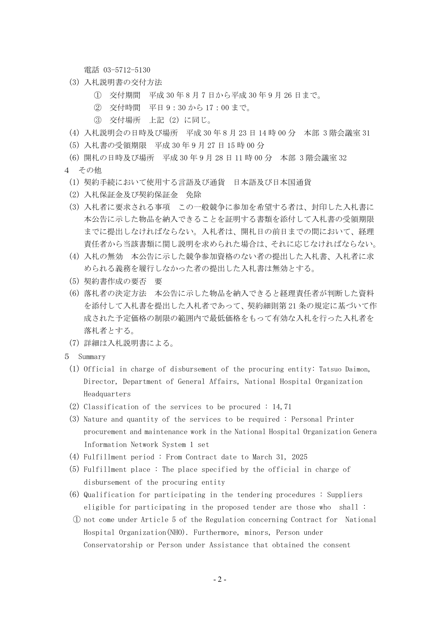電話 03-5712-5130

- (3) 入札説明書の交付方法
	- ① 交付期間 平成 30 年 8 月 7 日から平成 30 年 9 月 26 日まで。
	- ② 交付時間 平日 9:30 から 17:00 まで。
	- ③ 交付場所 上記(2)に同じ。
- (4) 入札説明会の日時及び場所 平成 30 年 8 月 23 日 14 時 00 分 本部 3 階会議室 31
- (5) 入札書の受領期限 平成 30 年 9 月 27 日 15 時 00 分
- (6) 開札の日時及び場所 平成 30 年 9 月 28 日 11 時 00 分 本部 3 階会議室 32
- 4 その他
	- (1) 契約手続において使用する言語及び通貨 日本語及び日本国通貨
	- (2) 入札保証金及び契約保証金 免除
	- (3) 入札者に要求される事項 この一般競争に参加を希望する者は、封印した入札書に 本公告に示した物品を納入できることを証明する書類を添付して入札書の受領期限 までに提出しなければならない。入札者は、開札日の前日までの間において、経理 責任者から当該書類に関し説明を求められた場合は、それに応じなければならない。
	- (4) 入札の無効 本公告に示した競争参加資格のない者の提出した入札書、入札者に求 められる義務を履行しなかった者の提出した入札書は無効とする。
	- (5) 契約書作成の要否 要
	- (6) 落札者の決定方法 本公告に示した物品を納入できると経理責任者が判断した資料 を添付して入札書を提出した入札者であって、契約細則第 21 条の規定に基づいて作 成された予定価格の制限の範囲内で最低価格をもって有効な入札を行った入札者を 落札者とする。
- (7) 詳細は入札説明書による。
- 5 Summary
	- (1) Official in charge of disbursement of the procuring entity: Tatsuo Daimon, Director, Department of General Affairs, National Hospital Organization Headquarters
	- (2) Classification of the services to be procured : 14,71
	- (3) Nature and quantity of the services to be required : Personal Printer procurement and maintenance work in the National Hospital Organization Genera Information Network System 1 set
	- (4) Fulfillment period : From Contract date to March 31, 2025
	- (5) Fulfillment place : The place specified by the official in charge of disbursement of the procuring entity
	- (6) Qualification for participating in the tendering procedures : Suppliers eligible for participating in the proposed tender are those who shall :
	- ① not come under Article 5 of the Regulation concerning Contract for National Hospital Organization(NHO). Furthermore, minors, Person under Conservatorship or Person under Assistance that obtained the consent